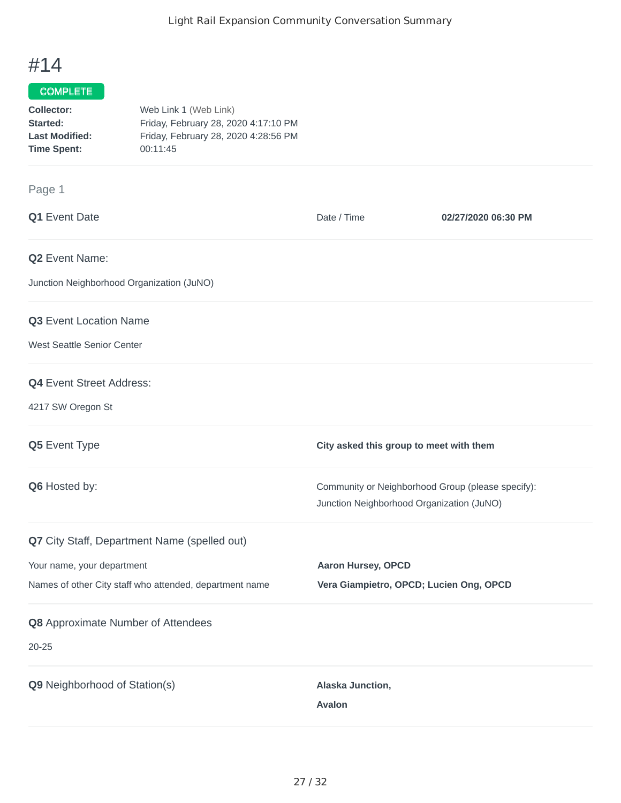## #14

## COMPLETE

| Collector:            | Web Link 1 (Web Link)                |
|-----------------------|--------------------------------------|
| Started:              | Friday, February 28, 2020 4:17:10 PM |
| <b>Last Modified:</b> | Friday, February 28, 2020 4:28:56 PM |
| <b>Time Spent:</b>    | 00:11:45                             |

## Page 1

| Q1 Event Date                                           | Date / Time                                                                                    | 02/27/2020 06:30 PM |
|---------------------------------------------------------|------------------------------------------------------------------------------------------------|---------------------|
| Q2 Event Name:                                          |                                                                                                |                     |
| Junction Neighborhood Organization (JuNO)               |                                                                                                |                     |
| Q3 Event Location Name                                  |                                                                                                |                     |
| West Seattle Senior Center                              |                                                                                                |                     |
| Q4 Event Street Address:                                |                                                                                                |                     |
| 4217 SW Oregon St                                       |                                                                                                |                     |
| Q5 Event Type                                           | City asked this group to meet with them                                                        |                     |
| Q6 Hosted by:                                           | Community or Neighborhood Group (please specify):<br>Junction Neighborhood Organization (JuNO) |                     |
| Q7 City Staff, Department Name (spelled out)            |                                                                                                |                     |
| Your name, your department                              | <b>Aaron Hursey, OPCD</b>                                                                      |                     |
| Names of other City staff who attended, department name | Vera Giampietro, OPCD; Lucien Ong, OPCD                                                        |                     |
| Q8 Approximate Number of Attendees                      |                                                                                                |                     |
| $20 - 25$                                               |                                                                                                |                     |
| Q9 Neighborhood of Station(s)                           | Alaska Junction,                                                                               |                     |
|                                                         | <b>Avalon</b>                                                                                  |                     |
|                                                         |                                                                                                |                     |